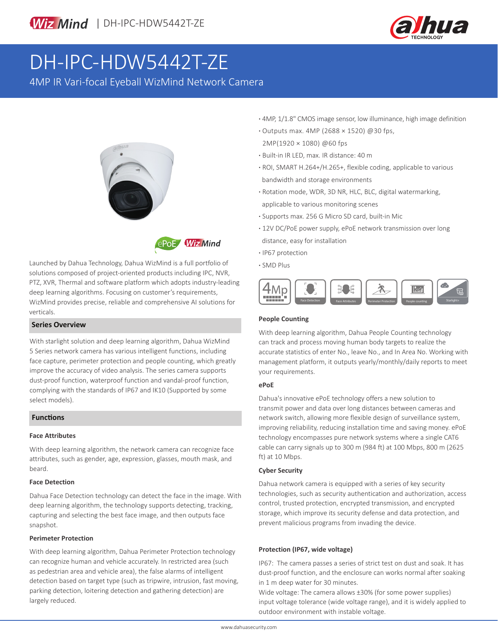



# DH-IPC-HDW5442T-ZE

4MP IR Vari-focal Eyeball WizMind Network Camera





Launched by Dahua Technology, Dahua WizMind is a full portfolio of solutions composed of project-oriented products including IPC, NVR, PTZ, XVR, Thermal and software platform which adopts industry-leading deep learning algorithms. Focusing on customer's requirements, WizMind provides precise, reliable and comprehensive AI solutions for verticals.

## **Series Overview**

With starlight solution and deep learning algorithm, Dahua WizMind 5 Series network camera has various intelligent functions, including face capture, perimeter protection and people counting, which greatly improve the accuracy of video analysis. The series camera supports dust-proof function, waterproof function and vandal-proof function, complying with the standards of IP67 and IK10 (Supported by some select models).

## **Functions**

## **Face Attributes**

With deep learning algorithm, the network camera can recognize face attributes, such as gender, age, expression, glasses, mouth mask, and beard.

#### **Face Detection**

Dahua Face Detection technology can detect the face in the image. With deep learning algorithm, the technology supports detecting, tracking, capturing and selecting the best face image, and then outputs face snapshot.

#### **Perimeter Protection**

With deep learning algorithm, Dahua Perimeter Protection technology can recognize human and vehicle accurately. In restricted area (such as pedestrian area and vehicle area), the false alarms of intelligent detection based on target type (such as tripwire, intrusion, fast moving, parking detection, loitering detection and gathering detection) are largely reduced.

- **·** 4MP, 1/1.8" CMOS image sensor, low illuminance, high image definition
- **·** Outputs max. 4MP (2688 × 1520) @30 fps, 2MP(1920 × 1080) @60 fps
- **·** Built-in IR LED, max. IR distance: 40 m
- **·** ROI, SMART H.264+/H.265+, flexible coding, applicable to various bandwidth and storage environments
- **·** Rotation mode, WDR, 3D NR, HLC, BLC, digital watermarking, applicable to various monitoring scenes
- **·** Supports max. 256 G Micro SD card, built-in Mic
- **·** 12V DC/PoE power supply, ePoE network transmission over long distance, easy for installation
- **·** IP67 protection
- **·** SMD Plus



#### **People Counting**

With deep learning algorithm, Dahua People Counting technology can track and process moving human body targets to realize the accurate statistics of enter No., leave No., and In Area No. Working with management platform, it outputs yearly/monthly/daily reports to meet your requirements.

#### **ePoE**

Dahua's innovative ePoE technology offers a new solution to transmit power and data over long distances between cameras and network switch, allowing more flexible design of surveillance system, improving reliability, reducing installation time and saving money. ePoE technology encompasses pure network systems where a single CAT6 cable can carry signals up to 300 m (984 ft) at 100 Mbps, 800 m (2625 ft) at 10 Mbps.

# **Cyber Security**

Dahua network camera is equipped with a series of key security technologies, such as security authentication and authorization, access control, trusted protection, encrypted transmission, and encrypted storage, which improve its security defense and data protection, and prevent malicious programs from invading the device.

## **Protection (IP67, wide voltage)**

IP67: The camera passes a series of strict test on dust and soak. It has dust-proof function, and the enclosure can works normal after soaking in 1 m deep water for 30 minutes.

Wide voltage: The camera allows ±30% (for some power supplies) input voltage tolerance (wide voltage range), and it is widely applied to outdoor environment with instable voltage.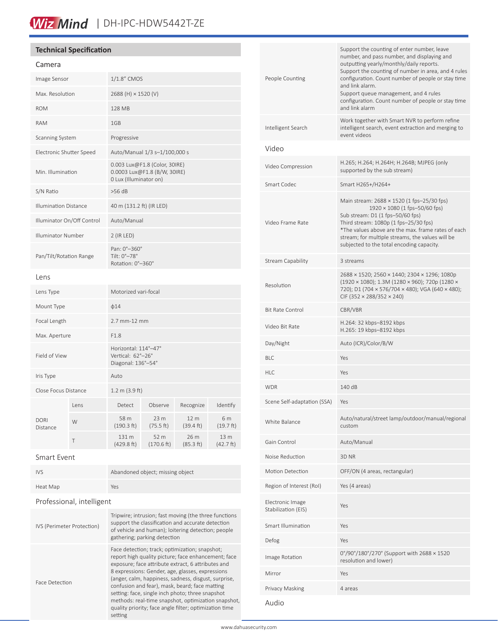# Wiz Mind | DH-IPC-HDW5442T-ZE

# **Technical Specification**

# Camera

| Image Sensor                 |      | 1/1.8" CMOS                                                                             |                       |                   |                             |
|------------------------------|------|-----------------------------------------------------------------------------------------|-----------------------|-------------------|-----------------------------|
| Max. Resolution              |      | 2688 (H) × 1520 (V)                                                                     |                       |                   |                             |
| <b>ROM</b>                   |      | 128 MB                                                                                  |                       |                   |                             |
| <b>RAM</b>                   |      | 1GB                                                                                     |                       |                   |                             |
| Scanning System              |      | Progressive                                                                             |                       |                   |                             |
| Electronic Shutter Speed     |      | Auto/Manual 1/3 s-1/100,000 s                                                           |                       |                   |                             |
| Min. Illumination            |      | 0.003 Lux@F1.8 (Color, 30IRE)<br>0.0003 Lux@F1.8 (B/W, 30IRE)<br>0 Lux (Illuminator on) |                       |                   |                             |
| S/N Ratio                    |      | $>56$ dB                                                                                |                       |                   |                             |
| <b>Illumination Distance</b> |      | 40 m (131.2 ft) (IR LED)                                                                |                       |                   |                             |
| Illuminator On/Off Control   |      | Auto/Manual                                                                             |                       |                   |                             |
| <b>Illuminator Number</b>    |      | $2$ (IR LED)                                                                            |                       |                   |                             |
| Pan/Tilt/Rotation Range      |      | Pan: 0°-360°<br>Tilt: 0°-78°<br>Rotation: 0°-360°                                       |                       |                   |                             |
| Lens                         |      |                                                                                         |                       |                   |                             |
| Lens Type                    |      | Motorized vari-focal                                                                    |                       |                   |                             |
| Mount Type                   |      | $\phi$ 14                                                                               |                       |                   |                             |
| Focal Length                 |      | 2.7 mm-12 mm                                                                            |                       |                   |                             |
| Max. Aperture                |      | F1.8                                                                                    |                       |                   |                             |
| Field of View                |      | Horizontal: 114°-47°<br>Vertical: 62°-26°<br>Diagonal: 136°-54°                         |                       |                   |                             |
| Iris Type                    |      | Auto                                                                                    |                       |                   |                             |
| Close Focus Distance         |      | 1.2 m (3.9 ft)                                                                          |                       |                   |                             |
|                              | Lens | Detect                                                                                  | Observe               | Recognize         | Identify                    |
| <b>DORI</b><br>Distance      | W    | 58 m<br>(190.3 ft)                                                                      | 23 m<br>(75.5 ft)     | 12 m<br>(39.4 ft) | 6 m<br>(19.7 ft)            |
|                              | T    | 131 m<br>(429.8 ft)                                                                     | 52 m<br>$(170.6)$ ft) | 26 m<br>(85.3 ft) | 13 m<br>$(42.7 \text{ ft})$ |

#### Smart Event

| <b>IVS</b> | Abandoned object; missing object |
|------------|----------------------------------|
| Heat Map   | Yes                              |

# Professional, intelligent

| IVS (Perimeter Protection) | Tripwire; intrusion; fast moving (the three functions<br>support the classification and accurate detection<br>of vehicle and human); loitering detection; people<br>gathering; parking detection                                                                                                                                                                                                                                                                                                          |
|----------------------------|-----------------------------------------------------------------------------------------------------------------------------------------------------------------------------------------------------------------------------------------------------------------------------------------------------------------------------------------------------------------------------------------------------------------------------------------------------------------------------------------------------------|
| Face Detection             | Face detection; track; optimization; snapshot;<br>report high quality picture; face enhancement; face<br>exposure; face attribute extract, 6 attributes and<br>8 expressions: Gender, age, glasses, expressions<br>(anger, calm, happiness, sadness, disgust, surprise,<br>confusion and fear), mask, beard; face matting<br>setting: face, single inch photo; three snapshot<br>methods: real-time snapshot, optimization snapshot,<br>quality priority; face angle filter; optimization time<br>setting |

| People Counting                         | Support the counting of enter number, leave<br>number, and pass number, and displaying and<br>outputting yearly/monthly/daily reports.<br>Support the counting of number in area, and 4 rules<br>configuration. Count number of people or stay time<br>and link alarm.<br>Support queue management, and 4 rules<br>configuration. Count number of people or stay time<br>and link alarm |  |  |
|-----------------------------------------|-----------------------------------------------------------------------------------------------------------------------------------------------------------------------------------------------------------------------------------------------------------------------------------------------------------------------------------------------------------------------------------------|--|--|
| Intelligent Search                      | Work together with Smart NVR to perform refine<br>intelligent search, event extraction and merging to<br>event videos                                                                                                                                                                                                                                                                   |  |  |
| Video                                   |                                                                                                                                                                                                                                                                                                                                                                                         |  |  |
| Video Compression                       | H.265; H.264; H.264H; H.264B; MJPEG (only<br>supported by the sub stream)                                                                                                                                                                                                                                                                                                               |  |  |
| Smart Codec                             | Smart H265+/H264+                                                                                                                                                                                                                                                                                                                                                                       |  |  |
| Video Frame Rate                        | Main stream: $2688 \times 1520$ (1 fps-25/30 fps)<br>1920 × 1080 (1 fps-50/60 fps)<br>Sub stream: D1 (1 fps-50/60 fps)<br>Third stream: 1080p (1 fps-25/30 fps)<br>*The values above are the max, frame rates of each<br>stream; for multiple streams, the values will be<br>subjected to the total encoding capacity.                                                                  |  |  |
| Stream Capability                       | 3 streams                                                                                                                                                                                                                                                                                                                                                                               |  |  |
| Resolution                              | 2688 × 1520; 2560 × 1440; 2304 × 1296; 1080p<br>(1920 × 1080); 1.3M (1280 × 960); 720p (1280 ×<br>720); D1 (704 × 576/704 × 480); VGA (640 × 480);<br>CIF (352 $\times$ 288/352 $\times$ 240)                                                                                                                                                                                           |  |  |
| Bit Rate Control                        | CBR/VBR                                                                                                                                                                                                                                                                                                                                                                                 |  |  |
| Video Bit Rate                          | H.264: 32 kbps-8192 kbps<br>H.265: 19 kbps-8192 kbps                                                                                                                                                                                                                                                                                                                                    |  |  |
| Day/Night                               | Auto (ICR)/Color/B/W                                                                                                                                                                                                                                                                                                                                                                    |  |  |
| BLC                                     | Yes                                                                                                                                                                                                                                                                                                                                                                                     |  |  |
| HLC                                     | Yes                                                                                                                                                                                                                                                                                                                                                                                     |  |  |
| WDR                                     | 140 dB                                                                                                                                                                                                                                                                                                                                                                                  |  |  |
| Scene Self-adaptation (SSA)             | Yes                                                                                                                                                                                                                                                                                                                                                                                     |  |  |
| White Balance                           | Auto/natural/street lamp/outdoor/manual/regional<br>custom                                                                                                                                                                                                                                                                                                                              |  |  |
| Gain Control                            | Auto/Manual                                                                                                                                                                                                                                                                                                                                                                             |  |  |
| Noise Reduction                         | 3D NR                                                                                                                                                                                                                                                                                                                                                                                   |  |  |
| Motion Detection                        | OFF/ON (4 areas, rectangular)                                                                                                                                                                                                                                                                                                                                                           |  |  |
| Region of Interest (RoI)                | Yes (4 areas)                                                                                                                                                                                                                                                                                                                                                                           |  |  |
| Electronic Image<br>Stabilization (EIS) | Yes                                                                                                                                                                                                                                                                                                                                                                                     |  |  |
| Smart Illumination                      | Yes                                                                                                                                                                                                                                                                                                                                                                                     |  |  |
| Defog                                   | Yes                                                                                                                                                                                                                                                                                                                                                                                     |  |  |
| Image Rotation                          | 0°/90°/180°/270° (Support with 2688 × 1520<br>resolution and lower)                                                                                                                                                                                                                                                                                                                     |  |  |
| Mirror                                  | Yes                                                                                                                                                                                                                                                                                                                                                                                     |  |  |
| Privacy Masking                         | 4 areas                                                                                                                                                                                                                                                                                                                                                                                 |  |  |
| Audio                                   |                                                                                                                                                                                                                                                                                                                                                                                         |  |  |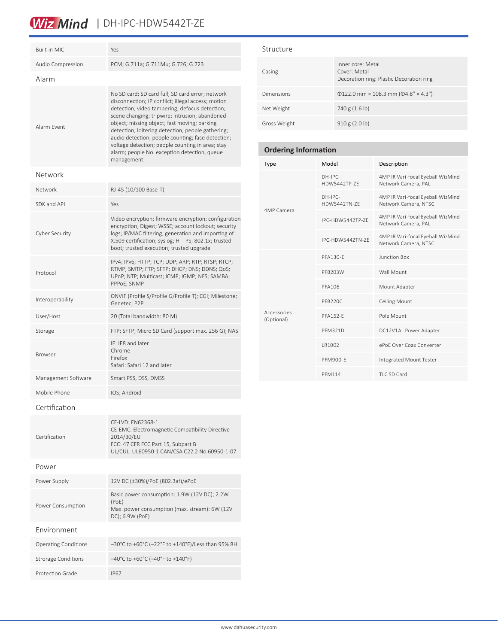# Wiz Mind | DH-IPC-HDW5442T-ZE

| <b>Built-in MIC</b>         | Yes                                                                                                                                                                                                                                                                                                                                                                                                                                                                                    |
|-----------------------------|----------------------------------------------------------------------------------------------------------------------------------------------------------------------------------------------------------------------------------------------------------------------------------------------------------------------------------------------------------------------------------------------------------------------------------------------------------------------------------------|
| Audio Compression           | PCM; G.711a; G.711Mu; G.726; G.723                                                                                                                                                                                                                                                                                                                                                                                                                                                     |
| Alarm                       |                                                                                                                                                                                                                                                                                                                                                                                                                                                                                        |
| Alarm Fvent                 | No SD card; SD card full; SD card error; network<br>disconnection; IP conflict; illegal access; motion<br>detection; video tampering; defocus detection;<br>scene changing; tripwire; intrusion; abandoned<br>object; missing object; fast moving; parking<br>detection; loitering detection; people gathering;<br>audio detection; people counting; face detection;<br>voltage detection; people counting in area; stay<br>alarm; people No. exception detection, queue<br>management |
| Network                     |                                                                                                                                                                                                                                                                                                                                                                                                                                                                                        |
| Network                     | RJ-45 (10/100 Base-T)                                                                                                                                                                                                                                                                                                                                                                                                                                                                  |
| SDK and API                 | Yes                                                                                                                                                                                                                                                                                                                                                                                                                                                                                    |
| Cyber Security              | Video encryption; firmware encryption; configuration<br>encryption; Digest; WSSE; account lockout; security<br>logs; IP/MAC filtering; generation and importing of<br>X.509 certification; syslog; HTTPS; 802.1x; trusted<br>boot; trusted execution; trusted upgrade                                                                                                                                                                                                                  |
| Protocol                    | IPv4; IPv6; HTTP; TCP; UDP; ARP; RTP; RTSP; RTCP;<br>RTMP; SMTP; FTP; SFTP; DHCP; DNS; DDNS; QoS;<br>UPnP; NTP; Multicast; ICMP; IGMP; NFS; SAMBA;<br>PPPoE; SNMP                                                                                                                                                                                                                                                                                                                      |
| Interoperability            | ONVIF (Profile S/Profile G/Profile T); CGI; Milestone;<br>Genetec; P2P                                                                                                                                                                                                                                                                                                                                                                                                                 |
| User/Host                   | 20 (Total bandwidth: 80 M)                                                                                                                                                                                                                                                                                                                                                                                                                                                             |
| Storage                     | FTP; SFTP; Micro SD Card (support max. 256 G); NAS                                                                                                                                                                                                                                                                                                                                                                                                                                     |
| <b>Browser</b>              | IE: IE8 and later<br>Chrome<br>Firefox<br>Safari: Safari 12 and later                                                                                                                                                                                                                                                                                                                                                                                                                  |
| Management Software         | Smart PSS, DSS, DMSS                                                                                                                                                                                                                                                                                                                                                                                                                                                                   |
| Mobile Phone                | IOS; Android                                                                                                                                                                                                                                                                                                                                                                                                                                                                           |
| Certification               |                                                                                                                                                                                                                                                                                                                                                                                                                                                                                        |
| Certification               | CE-LVD: EN62368-1<br>CE-EMC: Electromagnetic Compatibility Directive<br>2014/30/EU<br>FCC: 47 CFR FCC Part 15, Subpart B<br>UL/CUL: UL60950-1 CAN/CSA C22.2 No.60950-1-07                                                                                                                                                                                                                                                                                                              |
| Power                       |                                                                                                                                                                                                                                                                                                                                                                                                                                                                                        |
| Power Supply                | 12V DC (±30%)/PoE (802.3af)/ePoE                                                                                                                                                                                                                                                                                                                                                                                                                                                       |
| Power Consumption           | Basic power consumption: 1.9W (12V DC); 2.2W<br>(PoE)<br>Max. power consumption (max. stream): 6W (12V<br>DC); 6.9W (PoE)                                                                                                                                                                                                                                                                                                                                                              |
| Environment                 |                                                                                                                                                                                                                                                                                                                                                                                                                                                                                        |
| <b>Operating Conditions</b> | –30°C to +60°C (–22°F to +140°F)/Less than 95% RH                                                                                                                                                                                                                                                                                                                                                                                                                                      |
| <b>Strorage Conditions</b>  | $-40^{\circ}$ C to +60°C (-40°F to +140°F)                                                                                                                                                                                                                                                                                                                                                                                                                                             |
| Protection Grade            | <b>IP67</b>                                                                                                                                                                                                                                                                                                                                                                                                                                                                            |

# Structure

| Casing       | Inner core: Metal<br>Cover: Metal<br>Decoration ring: Plastic Decoration ring |
|--------------|-------------------------------------------------------------------------------|
| Dimensions   | $\Phi$ 122.0 mm × 108.3 mm ( $\Phi$ 4.8" × 4.3")                              |
| Net Weight   | 740 g (1.6 lb)                                                                |
| Gross Weight | 910 g (2.0 lb)                                                                |

# **Ordering Information**

| <b>Type</b>               | Model                     | Description                                               |
|---------------------------|---------------------------|-----------------------------------------------------------|
|                           | DH-IPC-<br>HDW5442TP-7F   | 4MP IR Vari-focal Eyeball WizMind<br>Network Camera, PAL  |
|                           | $DH-IPC-$<br>HDW5442TN-7F | 4MP IR Vari-focal Eyeball WizMind<br>Network Camera, NTSC |
| 4MP Camera                | IPC-HDW5442TP-7F          | 4MP IR Vari-focal Eyeball WizMind<br>Network Camera, PAL  |
|                           | IPC-HDW5442TN-ZF          | 4MP IR Vari-focal Eyeball WizMind<br>Network Camera, NTSC |
|                           | PFA130-F                  | Junction Box                                              |
|                           | PFB203W                   | Wall Mount                                                |
|                           | <b>PFA106</b>             | Mount Adapter                                             |
|                           | PFB220C                   | <b>Ceiling Mount</b>                                      |
| Accessories<br>(Optional) | <b>PFA152-F</b>           | Pole Mount                                                |
|                           | <b>PFM321D</b>            | DC12V1A Power Adapter                                     |
|                           | LR1002                    | ePoF Over Coax Converter                                  |
|                           | <b>PFM900-F</b>           | Integrated Mount Tester                                   |
|                           | <b>PFM114</b>             | TLC SD Card                                               |